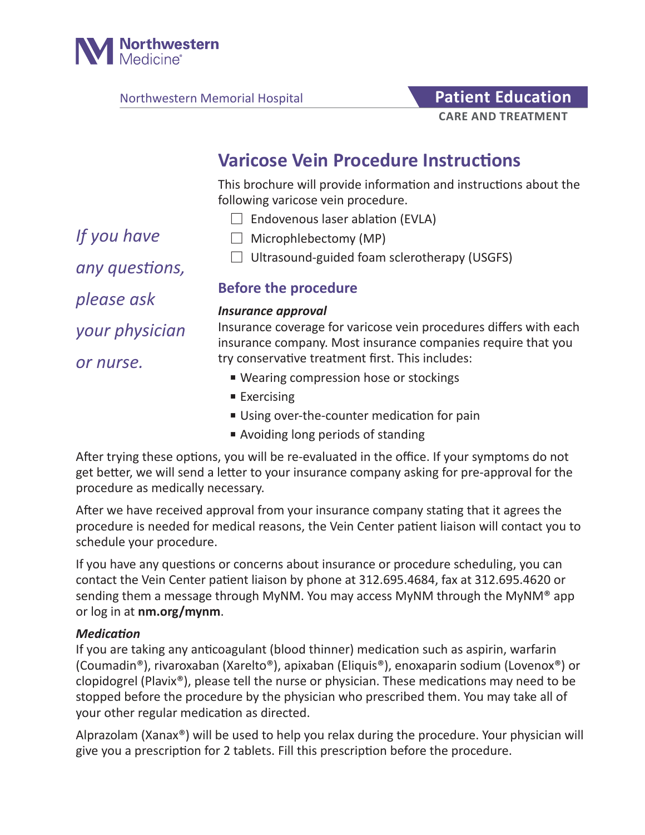

Northwestern Memorial Hospital **Patient Education** 

# **CARE AND TREATMENT**

# **Varicose Vein Procedure Instructions**

This brochure will provide information and instructions about the following varicose vein procedure.

- $\Box$  Endovenous laser ablation (EVLA)
- *If you have*
- $\Box$  Microphlebectomy (MP)

*any questions,* 

*please ask* 

*your physician* 

*or nurse.*

- 
- 
- $\Box$  Ultrasound-guided foam sclerotherapy (USGFS)

# **Before the procedure**

#### *Insurance approval*

Insurance coverage for varicose vein procedures differs with each insurance company. Most insurance companies require that you try conservative treatment first. This includes:

- Wearing compression hose or stockings
- Exercising
- Using over-the-counter medication for pain
- Avoiding long periods of standing

After trying these options, you will be re-evaluated in the office. If your symptoms do not get better, we will send a letter to your insurance company asking for pre-approval for the procedure as medically necessary.

After we have received approval from your insurance company stating that it agrees the procedure is needed for medical reasons, the Vein Center patient liaison will contact you to schedule your procedure.

If you have any questions or concerns about insurance or procedure scheduling, you can contact the Vein Center patient liaison by phone at 312.695.4684, fax at 312.695.4620 or sending them a message through MyNM. You may access MyNM through the MyNM® app or log in at **nm.org/mynm**.

#### *Medication*

If you are taking any anticoagulant (blood thinner) medication such as aspirin, warfarin (Coumadin®), rivaroxaban (Xarelto®), apixaban (Eliquis®), enoxaparin sodium (Lovenox®) or clopidogrel (Plavix®), please tell the nurse or physician. These medications may need to be stopped before the procedure by the physician who prescribed them. You may take all of your other regular medication as directed.

Alprazolam (Xanax®) will be used to help you relax during the procedure. Your physician will give you a prescription for 2 tablets. Fill this prescription before the procedure.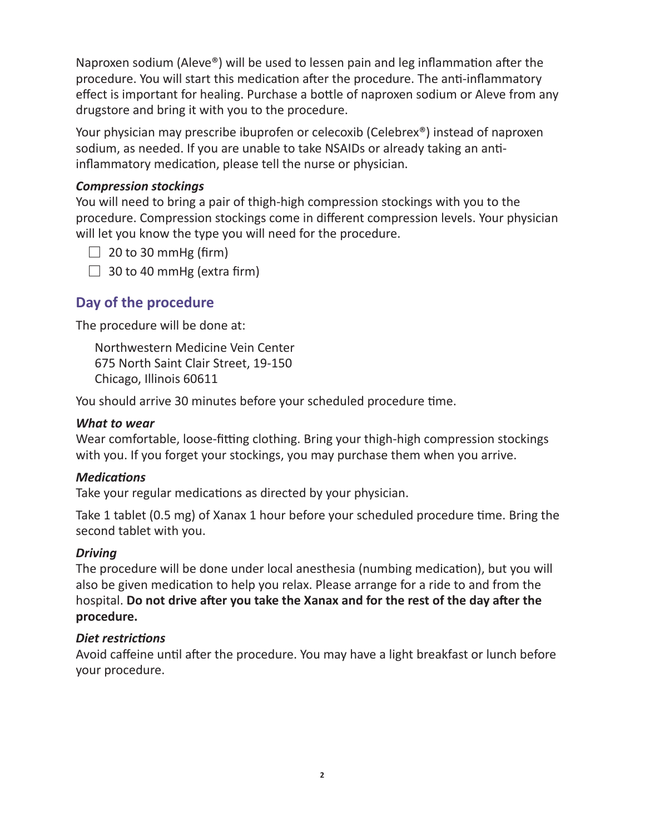Naproxen sodium (Aleve®) will be used to lessen pain and leg inflammation after the procedure. You will start this medication after the procedure. The anti-inflammatory effect is important for healing. Purchase a bottle of naproxen sodium or Aleve from any drugstore and bring it with you to the procedure.

Your physician may prescribe ibuprofen or celecoxib (Celebrex®) instead of naproxen sodium, as needed. If you are unable to take NSAIDs or already taking an antiinflammatory medication, please tell the nurse or physician.

#### *Compression stockings*

You will need to bring a pair of thigh-high compression stockings with you to the procedure. Compression stockings come in different compression levels. Your physician will let you know the type you will need for the procedure.

 $\Box$  20 to 30 mmHg (firm)

 $\Box$  30 to 40 mmHg (extra firm)

# **Day of the procedure**

The procedure will be done at:

Northwestern Medicine Vein Center 675 North Saint Clair Street, 19-150 Chicago, Illinois 60611

You should arrive 30 minutes before your scheduled procedure time.

#### *What to wear*

Wear comfortable, loose-fitting clothing. Bring your thigh-high compression stockings with you. If you forget your stockings, you may purchase them when you arrive.

#### *Medications*

Take your regular medications as directed by your physician.

Take 1 tablet (0.5 mg) of Xanax 1 hour before your scheduled procedure time. Bring the second tablet with you.

#### *Driving*

The procedure will be done under local anesthesia (numbing medication), but you will also be given medication to help you relax. Please arrange for a ride to and from the hospital. **Do not drive after you take the Xanax and for the rest of the day after the procedure.**

#### *Diet restrictions*

Avoid caffeine until after the procedure. You may have a light breakfast or lunch before your procedure.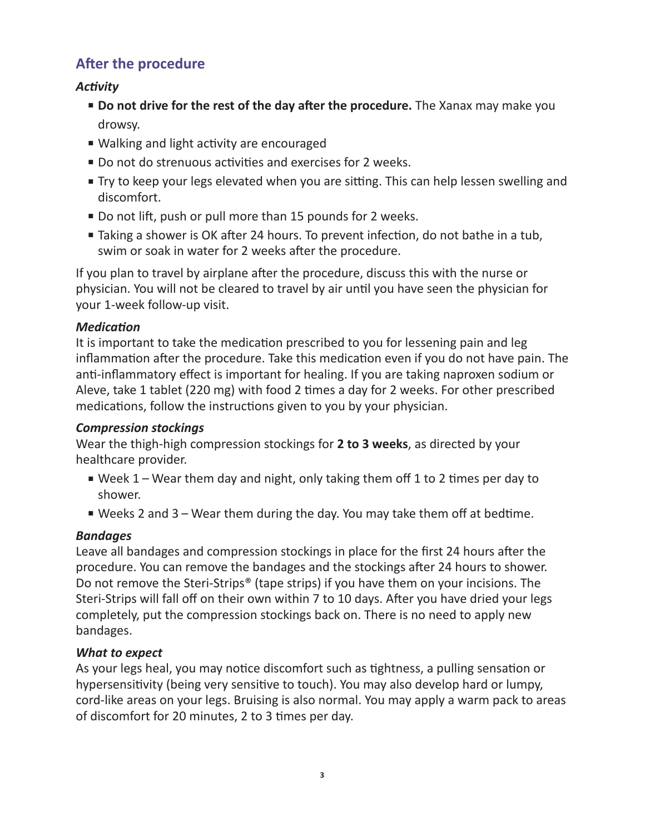# **After the procedure**

# *Activity*

- **Do not drive for the rest of the day after the procedure.** The Xanax may make you drowsy.
- Walking and light activity are encouraged
- Do not do strenuous activities and exercises for 2 weeks.
- Try to keep your legs elevated when you are sitting. This can help lessen swelling and discomfort.
- Do not lift, push or pull more than 15 pounds for 2 weeks.
- Taking a shower is OK after 24 hours. To prevent infection, do not bathe in a tub, swim or soak in water for 2 weeks after the procedure.

If you plan to travel by airplane after the procedure, discuss this with the nurse or physician. You will not be cleared to travel by air until you have seen the physician for your 1-week follow-up visit.

#### *Medication*

It is important to take the medication prescribed to you for lessening pain and leg inflammation after the procedure. Take this medication even if you do not have pain. The anti-inflammatory effect is important for healing. If you are taking naproxen sodium or Aleve, take 1 tablet (220 mg) with food 2 times a day for 2 weeks. For other prescribed medications, follow the instructions given to you by your physician.

#### *Compression stockings*

Wear the thigh-high compression stockings for **2 to 3 weeks**, as directed by your healthcare provider.

- Week 1 Wear them day and night, only taking them off 1 to 2 times per day to shower.
- Weeks 2 and 3 Wear them during the day. You may take them off at bedtime.

# *Bandages*

Leave all bandages and compression stockings in place for the first 24 hours after the procedure. You can remove the bandages and the stockings after 24 hours to shower. Do not remove the Steri-Strips® (tape strips) if you have them on your incisions. The Steri-Strips will fall off on their own within 7 to 10 days. After you have dried your legs completely, put the compression stockings back on. There is no need to apply new bandages.

# *What to expect*

As your legs heal, you may notice discomfort such as tightness, a pulling sensation or hypersensitivity (being very sensitive to touch). You may also develop hard or lumpy, cord-like areas on your legs. Bruising is also normal. You may apply a warm pack to areas of discomfort for 20 minutes, 2 to 3 times per day.